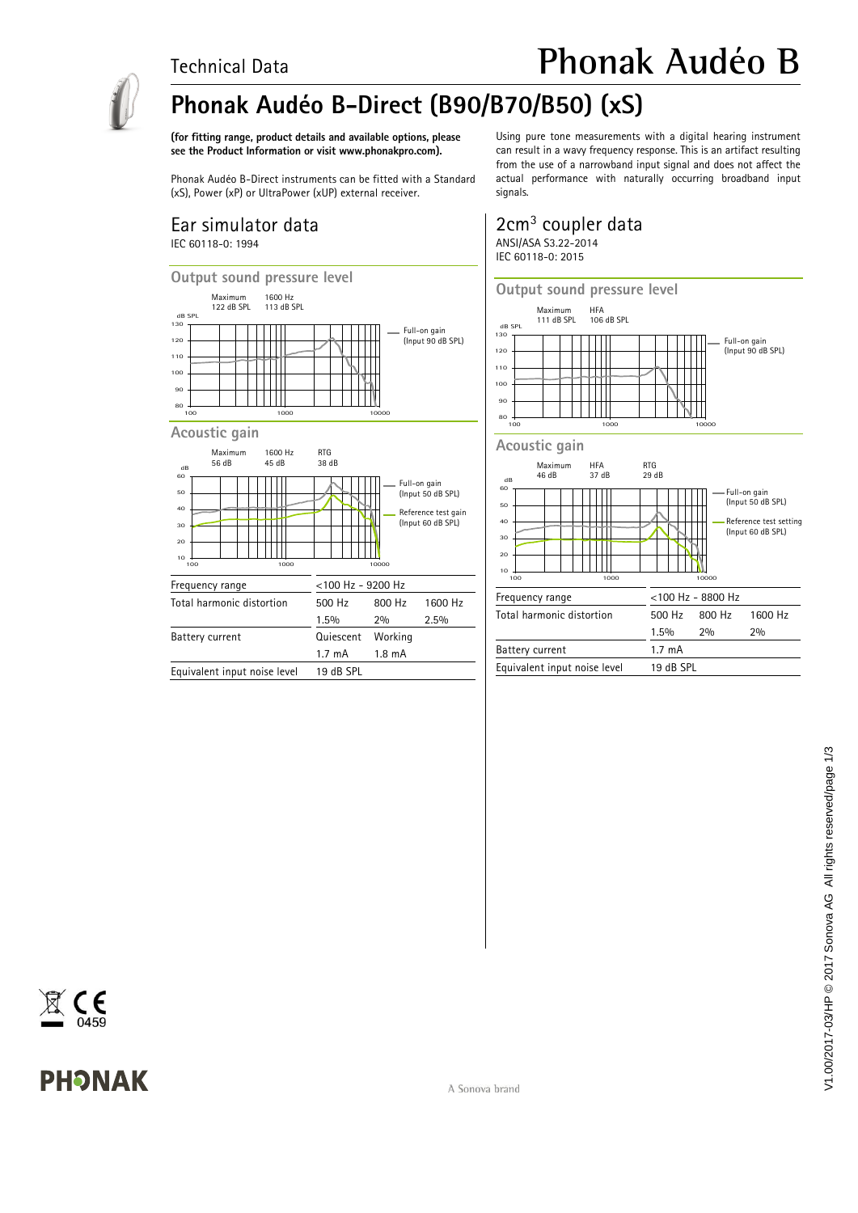### Technical Data



## **Phonak Audéo B-Direct (B90/B70/B50) (xS)**

**(for fitting range, product details and available options, please see the Product Information or visit www.phonakpro.com).**

Phonak Audéo B-Direct instruments can be fitted with a Standard (xS), Power (xP) or UltraPower (xUP) external receiver.

#### Ear simulator data IEC 60118-0: 1994



Equivalent input noise level 19 dB SPL

Using pure tone measurements with a digital hearing instrument can result in a wavy frequency response. This is an artifact resulting from the use of a narrowband input signal and does not affect the actual performance with naturally occurring broadband input signals.

**Phonak Audéo B**

#### 2cm<sup>3</sup> coupler data ANSI/ASA S3.22-2014 IEC 60118-0: 2015



**Output sound pressure level** Maximum HFA<br>111 dB SPL 106 dB SPL 111 dB SPL dB SPL 130 Full-on gain (Input 90 dB SPL) 120  $\mathbb{R}$ 110 ₩ 100 90 80 100 1000 10000 **Acoustic gain** Maximum HFA RTG<br>46 dB 37 dB 29 dB 37 dB 60 dB Full-on gain (Input 50 dB SPL)  $50$ 40 Reference test setting (Input 60 dB SPL)╈╈ 30 П <sub>20</sub> 10 100 1000 10000 Frequency range <100 Hz - 8800 Hz Total harmonic distortion 500 Hz 800 Hz 1600 Hz 1.5% 2% 2% Battery current 1.7 mA Equivalent input noise level 19 dB SPL

C  $\epsilon$ 

# **PHONAK**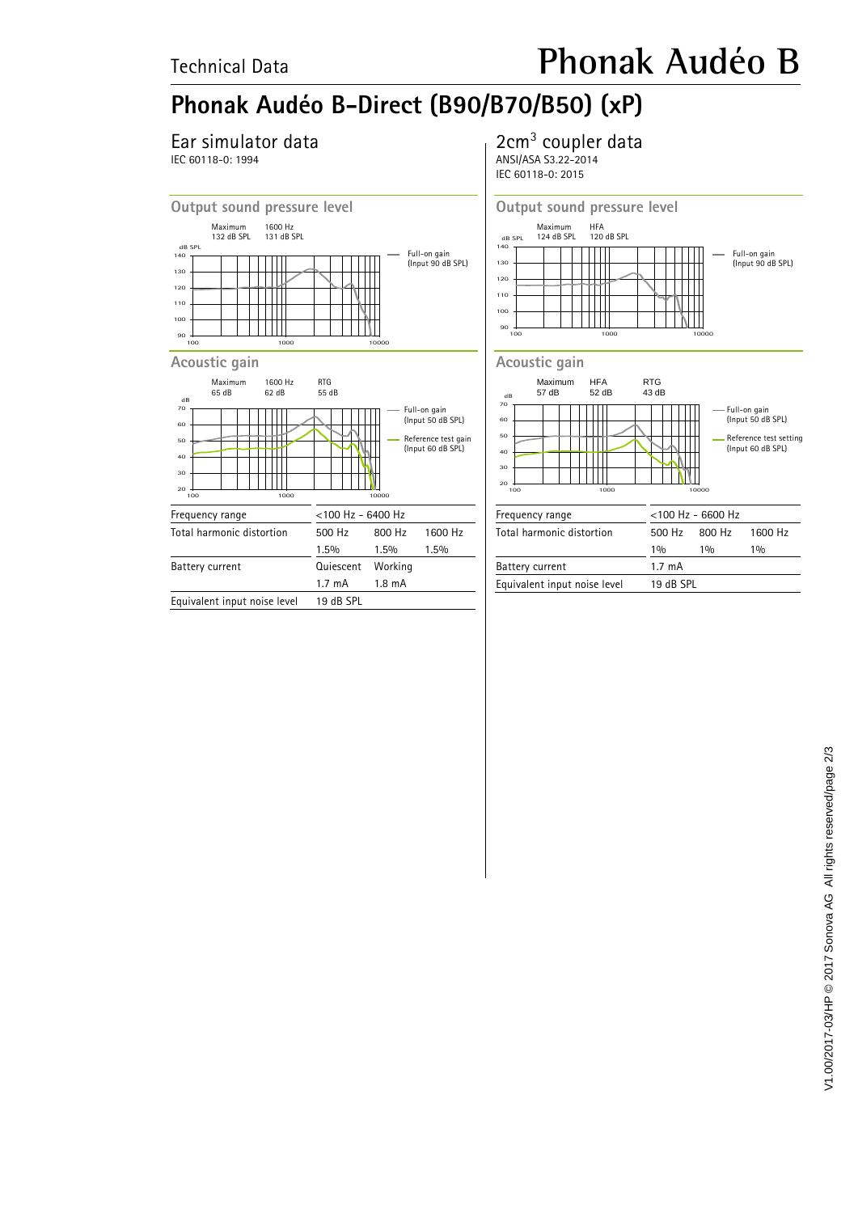# **Phonak Audéo B-Direct (B90/B70/B50) (xP)**

## Ear simulator data

IEC 60118-0: 1994

## 2cm<sup>3</sup> coupler data

ANSI/ASA S3.22-2014 IEC 60118-0: 2015





#### 20 30 40 50 60 70 dB 100 1000 10000 Maximum HFA RTG 57 dB 52 dB 43 dB Full-on gain (Input 50 dB SPL) Reference test setting (Input 60 dB SPL)

| Frequency range              | $<$ 100 Hz - 6600 Hz |                         |         |
|------------------------------|----------------------|-------------------------|---------|
| Total harmonic distortion    |                      | $500 \text{ Hz}$ 800 Hz | 1600 Hz |
|                              | 10/6                 | 10/n                    | 10/6    |
| Battery current              | $1.7 \text{ mA}$     |                         |         |
| Equivalent input noise level | 19 dB SPL            |                         |         |
|                              |                      |                         |         |